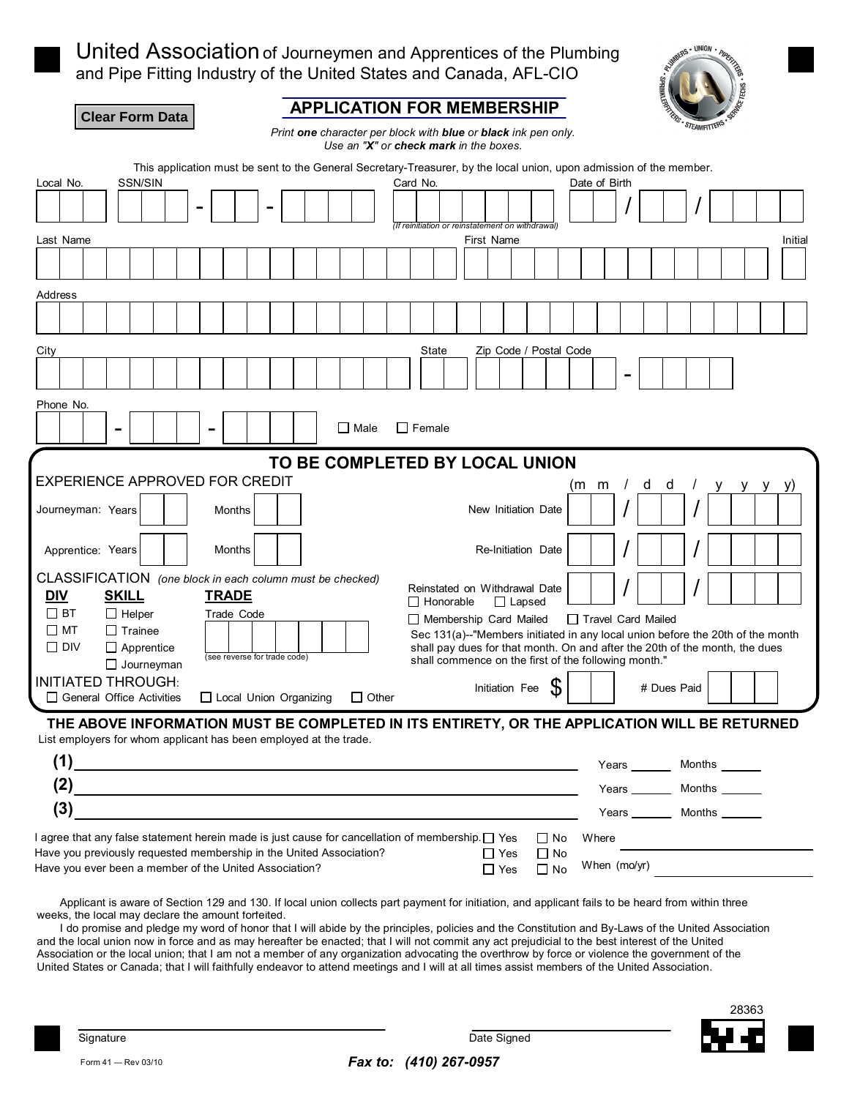

United Association of Journeymen and Apprentices of the Plumbing and Pipe Fitting Industry of the United States and Canada, AFL-CIO



| <b>APPLICATION FOR MEMBERSHIP</b><br><b>Clear Form Data</b>                                                                                                       | FROM STEAMFITTERS                                                                                                                                             |
|-------------------------------------------------------------------------------------------------------------------------------------------------------------------|---------------------------------------------------------------------------------------------------------------------------------------------------------------|
| Print one character per block with blue or black ink pen only.<br>Use an "X" or check mark in the boxes.                                                          |                                                                                                                                                               |
| This application must be sent to the General Secretary-Treasurer, by the local union, upon admission of the member.                                               |                                                                                                                                                               |
| <b>SSN/SIN</b><br>Local No.<br>Card No.                                                                                                                           | Date of Birth                                                                                                                                                 |
| (If reinitiation or reinstatement on withdrawal)                                                                                                                  |                                                                                                                                                               |
| Last Name<br>First Name                                                                                                                                           | Initial                                                                                                                                                       |
|                                                                                                                                                                   |                                                                                                                                                               |
| Address                                                                                                                                                           |                                                                                                                                                               |
|                                                                                                                                                                   |                                                                                                                                                               |
| Zip Code / Postal Code<br>City<br>State                                                                                                                           |                                                                                                                                                               |
|                                                                                                                                                                   |                                                                                                                                                               |
| Phone No.                                                                                                                                                         |                                                                                                                                                               |
| $\Box$ Female<br>$\Box$ Male<br>$\overline{\phantom{0}}$                                                                                                          |                                                                                                                                                               |
| TO BE COMPLETED BY LOCAL UNION<br><b>EXPERIENCE APPROVED FOR CREDIT</b>                                                                                           |                                                                                                                                                               |
|                                                                                                                                                                   | d<br>(m m<br>d                                                                                                                                                |
| Journeyman: Years<br>New Initiation Date<br>Months                                                                                                                |                                                                                                                                                               |
| Apprentice: Years<br>Months<br>Re-Initiation Date                                                                                                                 |                                                                                                                                                               |
| CLASSIFICATION (one block in each column must be checked)<br>Reinstated on Withdrawal Date<br><b>DIV</b><br><b>SKILL</b><br><b>TRADE</b>                          |                                                                                                                                                               |
| $\Box$ Honorable<br>$\Box$ Lapsed<br>$\Box$ BT<br>$\Box$ Helper<br>Trade Code<br>Membership Card Mailed                                                           | Travel Card Mailed                                                                                                                                            |
| $\Box$ MT<br>$\Box$ Trainee<br>$\square$ DIV<br>$\Box$ Apprentice<br>(see reverse for trade code)<br>shall commence on the first of the following month."         | Sec 131(a)--"Members initiated in any local union before the 20th of the month<br>shall pay dues for that month. On and after the 20th of the month, the dues |
| $\Box$ Journeyman<br><b>INITIATED THROUGH:</b>                                                                                                                    |                                                                                                                                                               |
| Initiation Fee<br>$\Box$ General Office Activities<br>□ Local Union Organizing<br>$\Box$ Other                                                                    | # Dues Paid                                                                                                                                                   |
| THE ABOVE INFORMATION MUST BE COMPLETED IN ITS ENTIRETY, OR THE APPLICATION WILL BE RETURNED<br>List employers for whom applicant has been employed at the trade. |                                                                                                                                                               |
| (1)                                                                                                                                                               | Months<br>Years <u>example</u>                                                                                                                                |
| (2)                                                                                                                                                               | Years <b>New York</b><br>Months                                                                                                                               |
| (3)                                                                                                                                                               | <b>Months</b><br>Years                                                                                                                                        |

| I agree that any false statement herein made is just cause for cancellation of membership. $\Box$ Yes |            | $\Box$ No | <b>Where</b> |  |
|-------------------------------------------------------------------------------------------------------|------------|-----------|--------------|--|
| Have you previously requested membership in the United Association?                                   | □ Yes      | $\Box$ No |              |  |
| Have you ever been a member of the United Association?                                                | $\Box$ Yes | $\Box$ No | When (mo/yr) |  |
|                                                                                                       |            |           |              |  |

Applicant is aware of Section 129 and 130. If local union collects part payment for initiation, and applicant fails to be heard from within three weeks, the local may declare the amount forfeited.

I do promise and pledge my word of honor that I will abide by the principles, policies and the Constitution and By-Laws of the United Association and the local union now in force and as may hereafter be enacted; that I will not commit any act prejudicial to the best interest of the United Association or the local union; that I am not a member of any organization advocating the overthrow by force or violence the government of the United States or Canada; that I will faithfully endeavor to attend meetings and I will at all times assist members of the United Association.



Form41— Rev03/10 *Fax to: (410) 267-0957*